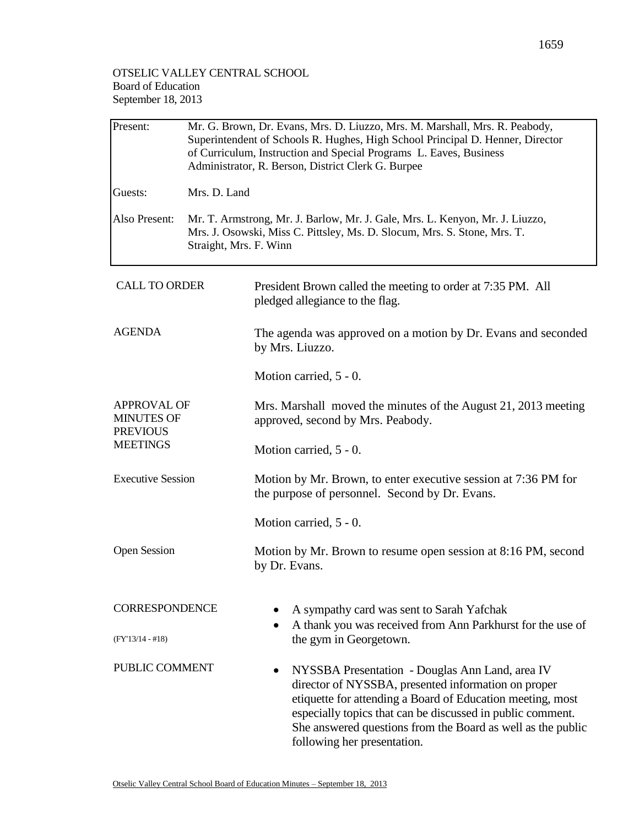## OTSELIC VALLEY CENTRAL SCHOOL Board of Education September 18, 2013

| Present:                                                                      | Mr. G. Brown, Dr. Evans, Mrs. D. Liuzzo, Mrs. M. Marshall, Mrs. R. Peabody,<br>Superintendent of Schools R. Hughes, High School Principal D. Henner, Director<br>of Curriculum, Instruction and Special Programs L. Eaves, Business<br>Administrator, R. Berson, District Clerk G. Burpee |                                                                                                                                                                                                                                                                                                                                       |  |  |  |
|-------------------------------------------------------------------------------|-------------------------------------------------------------------------------------------------------------------------------------------------------------------------------------------------------------------------------------------------------------------------------------------|---------------------------------------------------------------------------------------------------------------------------------------------------------------------------------------------------------------------------------------------------------------------------------------------------------------------------------------|--|--|--|
| Guests:                                                                       | Mrs. D. Land                                                                                                                                                                                                                                                                              |                                                                                                                                                                                                                                                                                                                                       |  |  |  |
| Also Present:                                                                 | Mr. T. Armstrong, Mr. J. Barlow, Mr. J. Gale, Mrs. L. Kenyon, Mr. J. Liuzzo,<br>Mrs. J. Osowski, Miss C. Pittsley, Ms. D. Slocum, Mrs. S. Stone, Mrs. T.<br>Straight, Mrs. F. Winn                                                                                                        |                                                                                                                                                                                                                                                                                                                                       |  |  |  |
| <b>CALL TO ORDER</b>                                                          |                                                                                                                                                                                                                                                                                           | President Brown called the meeting to order at 7:35 PM. All<br>pledged allegiance to the flag.                                                                                                                                                                                                                                        |  |  |  |
| <b>AGENDA</b>                                                                 |                                                                                                                                                                                                                                                                                           | The agenda was approved on a motion by Dr. Evans and seconded<br>by Mrs. Liuzzo.                                                                                                                                                                                                                                                      |  |  |  |
|                                                                               |                                                                                                                                                                                                                                                                                           | Motion carried, 5 - 0.                                                                                                                                                                                                                                                                                                                |  |  |  |
| <b>APPROVAL OF</b><br><b>MINUTES OF</b><br><b>PREVIOUS</b><br><b>MEETINGS</b> |                                                                                                                                                                                                                                                                                           | Mrs. Marshall moved the minutes of the August 21, 2013 meeting<br>approved, second by Mrs. Peabody.                                                                                                                                                                                                                                   |  |  |  |
|                                                                               |                                                                                                                                                                                                                                                                                           | Motion carried, 5 - 0.                                                                                                                                                                                                                                                                                                                |  |  |  |
| <b>Executive Session</b>                                                      |                                                                                                                                                                                                                                                                                           | Motion by Mr. Brown, to enter executive session at 7:36 PM for<br>the purpose of personnel. Second by Dr. Evans.                                                                                                                                                                                                                      |  |  |  |
|                                                                               |                                                                                                                                                                                                                                                                                           | Motion carried, 5 - 0.                                                                                                                                                                                                                                                                                                                |  |  |  |
| <b>Open Session</b>                                                           |                                                                                                                                                                                                                                                                                           | Motion by Mr. Brown to resume open session at 8:16 PM, second<br>by Dr. Evans.                                                                                                                                                                                                                                                        |  |  |  |
| <b>CORRESPONDENCE</b>                                                         |                                                                                                                                                                                                                                                                                           | A sympathy card was sent to Sarah Yafchak<br>A thank you was received from Ann Parkhurst for the use of                                                                                                                                                                                                                               |  |  |  |
| (FY'13/14 - #18)                                                              |                                                                                                                                                                                                                                                                                           | the gym in Georgetown.                                                                                                                                                                                                                                                                                                                |  |  |  |
| PUBLIC COMMENT                                                                |                                                                                                                                                                                                                                                                                           | NYSSBA Presentation - Douglas Ann Land, area IV<br>٠<br>director of NYSSBA, presented information on proper<br>etiquette for attending a Board of Education meeting, most<br>especially topics that can be discussed in public comment.<br>She answered questions from the Board as well as the public<br>following her presentation. |  |  |  |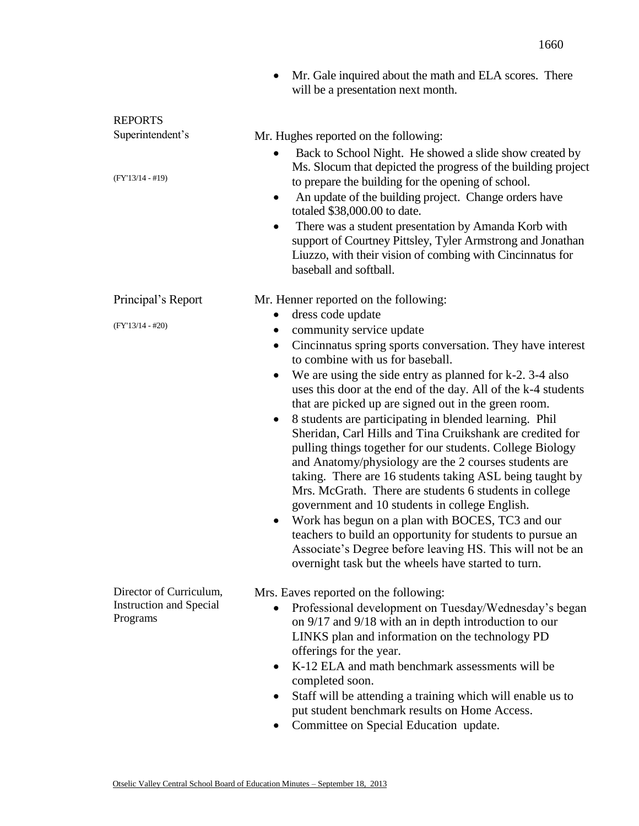|                                            | Mr. Gale inquired about the math and ELA scores. There<br>$\bullet$<br>will be a presentation next month.                                                                                                                                                                                                                                                                                                                                                                                                                                                                                                                                                            |
|--------------------------------------------|----------------------------------------------------------------------------------------------------------------------------------------------------------------------------------------------------------------------------------------------------------------------------------------------------------------------------------------------------------------------------------------------------------------------------------------------------------------------------------------------------------------------------------------------------------------------------------------------------------------------------------------------------------------------|
| <b>REPORTS</b>                             |                                                                                                                                                                                                                                                                                                                                                                                                                                                                                                                                                                                                                                                                      |
| Superintendent's                           | Mr. Hughes reported on the following:                                                                                                                                                                                                                                                                                                                                                                                                                                                                                                                                                                                                                                |
| $(FY'13/14 - #19)$                         | Back to School Night. He showed a slide show created by<br>Ms. Slocum that depicted the progress of the building project<br>to prepare the building for the opening of school.<br>An update of the building project. Change orders have<br>٠<br>totaled \$38,000.00 to date.<br>There was a student presentation by Amanda Korb with<br>$\bullet$<br>support of Courtney Pittsley, Tyler Armstrong and Jonathan<br>Liuzzo, with their vision of combing with Cincinnatus for<br>baseball and softball.                                                                                                                                                               |
| Principal's Report                         | Mr. Henner reported on the following:                                                                                                                                                                                                                                                                                                                                                                                                                                                                                                                                                                                                                                |
|                                            | dress code update<br>$\bullet$                                                                                                                                                                                                                                                                                                                                                                                                                                                                                                                                                                                                                                       |
| $(FY'13/14 - #20)$                         | community service update                                                                                                                                                                                                                                                                                                                                                                                                                                                                                                                                                                                                                                             |
|                                            | Cincinnatus spring sports conversation. They have interest<br>$\bullet$                                                                                                                                                                                                                                                                                                                                                                                                                                                                                                                                                                                              |
|                                            | to combine with us for baseball.                                                                                                                                                                                                                                                                                                                                                                                                                                                                                                                                                                                                                                     |
|                                            | We are using the side entry as planned for k-2. 3-4 also<br>$\bullet$<br>uses this door at the end of the day. All of the k-4 students                                                                                                                                                                                                                                                                                                                                                                                                                                                                                                                               |
|                                            | that are picked up are signed out in the green room.                                                                                                                                                                                                                                                                                                                                                                                                                                                                                                                                                                                                                 |
|                                            | 8 students are participating in blended learning. Phil<br>$\bullet$<br>Sheridan, Carl Hills and Tina Cruikshank are credited for<br>pulling things together for our students. College Biology<br>and Anatomy/physiology are the 2 courses students are<br>taking. There are 16 students taking ASL being taught by<br>Mrs. McGrath. There are students 6 students in college<br>government and 10 students in college English.<br>Work has begun on a plan with BOCES, TC3 and our<br>teachers to build an opportunity for students to pursue an<br>Associate's Degree before leaving HS. This will not be an<br>overnight task but the wheels have started to turn. |
| Director of Curriculum,                    | Mrs. Eaves reported on the following:                                                                                                                                                                                                                                                                                                                                                                                                                                                                                                                                                                                                                                |
| <b>Instruction and Special</b><br>Programs | Professional development on Tuesday/Wednesday's began<br>$\bullet$<br>on 9/17 and 9/18 with an in depth introduction to our<br>LINKS plan and information on the technology PD<br>offerings for the year.<br>K-12 ELA and math benchmark assessments will be<br>$\bullet$                                                                                                                                                                                                                                                                                                                                                                                            |
|                                            | completed soon.                                                                                                                                                                                                                                                                                                                                                                                                                                                                                                                                                                                                                                                      |
|                                            | Staff will be attending a training which will enable us to<br>٠<br>put student benchmark results on Home Access.                                                                                                                                                                                                                                                                                                                                                                                                                                                                                                                                                     |
|                                            | Committee on Special Education undeta                                                                                                                                                                                                                                                                                                                                                                                                                                                                                                                                                                                                                                |

• Committee on Special Education update.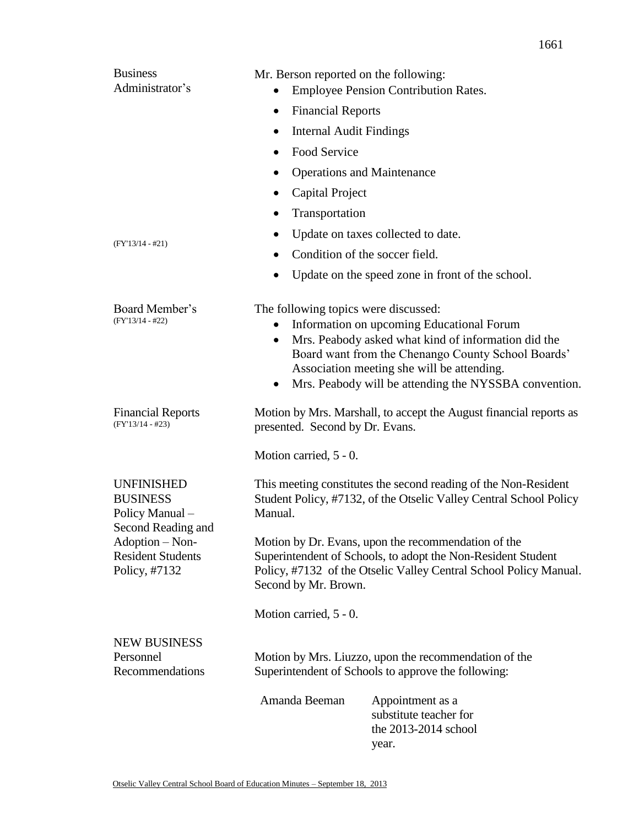| <b>Business</b><br>Administrator's                                                 | Mr. Berson reported on the following:                                                                                                                                                                            | <b>Employee Pension Contribution Rates.</b>                                                                                                                                                                                                                   |  |
|------------------------------------------------------------------------------------|------------------------------------------------------------------------------------------------------------------------------------------------------------------------------------------------------------------|---------------------------------------------------------------------------------------------------------------------------------------------------------------------------------------------------------------------------------------------------------------|--|
|                                                                                    | <b>Financial Reports</b><br>$\bullet$                                                                                                                                                                            |                                                                                                                                                                                                                                                               |  |
|                                                                                    | <b>Internal Audit Findings</b><br>٠                                                                                                                                                                              |                                                                                                                                                                                                                                                               |  |
|                                                                                    | Food Service<br>$\bullet$                                                                                                                                                                                        |                                                                                                                                                                                                                                                               |  |
|                                                                                    | <b>Operations and Maintenance</b>                                                                                                                                                                                |                                                                                                                                                                                                                                                               |  |
|                                                                                    | Capital Project<br>٠                                                                                                                                                                                             |                                                                                                                                                                                                                                                               |  |
|                                                                                    | Transportation                                                                                                                                                                                                   |                                                                                                                                                                                                                                                               |  |
|                                                                                    |                                                                                                                                                                                                                  | Update on taxes collected to date.                                                                                                                                                                                                                            |  |
| $(FY'13/14 - #21)$                                                                 | Condition of the soccer field.<br>٠                                                                                                                                                                              |                                                                                                                                                                                                                                                               |  |
|                                                                                    | ٠                                                                                                                                                                                                                | Update on the speed zone in front of the school.                                                                                                                                                                                                              |  |
| Board Member's<br>$(FY'13/14 - #22)$                                               | The following topics were discussed:<br>$\bullet$<br>$\bullet$<br>٠                                                                                                                                              | Information on upcoming Educational Forum<br>Mrs. Peabody asked what kind of information did the<br>Board want from the Chenango County School Boards'<br>Association meeting she will be attending.<br>Mrs. Peabody will be attending the NYSSBA convention. |  |
| <b>Financial Reports</b><br>$(FY'13/14 - #23)$                                     | presented. Second by Dr. Evans.                                                                                                                                                                                  | Motion by Mrs. Marshall, to accept the August financial reports as                                                                                                                                                                                            |  |
|                                                                                    | Motion carried, 5 - 0.                                                                                                                                                                                           |                                                                                                                                                                                                                                                               |  |
| <b>UNFINISHED</b><br><b>BUSINESS</b><br>Policy Manual -                            | Manual.                                                                                                                                                                                                          | This meeting constitutes the second reading of the Non-Resident<br>Student Policy, #7132, of the Otselic Valley Central School Policy                                                                                                                         |  |
| Second Reading and<br>Adoption – Non-<br><b>Resident Students</b><br>Policy, #7132 | Motion by Dr. Evans, upon the recommendation of the<br>Superintendent of Schools, to adopt the Non-Resident Student<br>Policy, #7132 of the Otselic Valley Central School Policy Manual.<br>Second by Mr. Brown. |                                                                                                                                                                                                                                                               |  |
|                                                                                    | Motion carried, 5 - 0.                                                                                                                                                                                           |                                                                                                                                                                                                                                                               |  |
| <b>NEW BUSINESS</b><br>Personnel<br>Recommendations                                |                                                                                                                                                                                                                  | Motion by Mrs. Liuzzo, upon the recommendation of the<br>Superintendent of Schools to approve the following:                                                                                                                                                  |  |
|                                                                                    | Amanda Beeman                                                                                                                                                                                                    | Appointment as a<br>substitute teacher for<br>the 2013-2014 school<br>year.                                                                                                                                                                                   |  |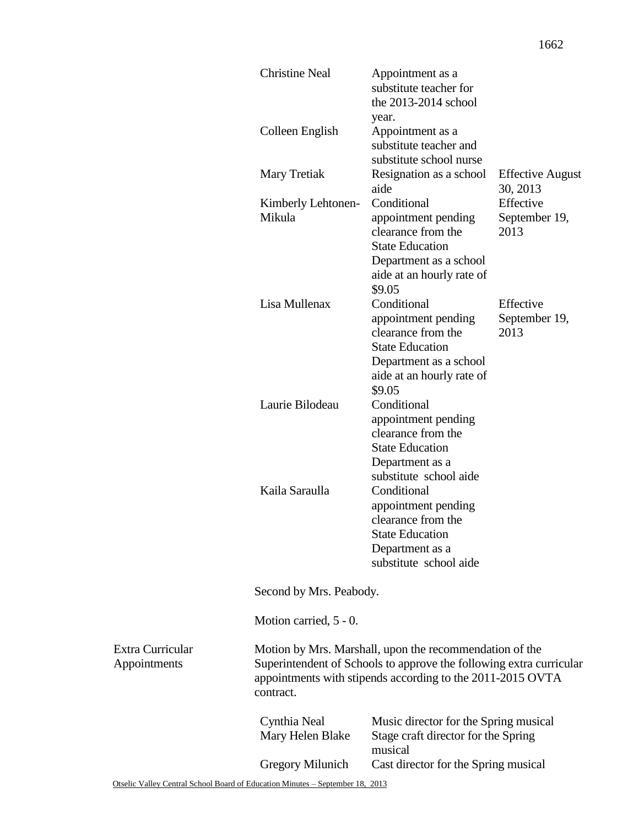|                                         | <b>Christine Neal</b>                                                                                                                                                                                     | Appointment as a<br>substitute teacher for<br>the 2013-2014 school<br>year.                                                                         |                                     |
|-----------------------------------------|-----------------------------------------------------------------------------------------------------------------------------------------------------------------------------------------------------------|-----------------------------------------------------------------------------------------------------------------------------------------------------|-------------------------------------|
|                                         | Colleen English                                                                                                                                                                                           | Appointment as a<br>substitute teacher and<br>substitute school nurse                                                                               |                                     |
|                                         | Mary Tretiak                                                                                                                                                                                              | Resignation as a school<br>aide                                                                                                                     | <b>Effective August</b><br>30, 2013 |
|                                         | Kimberly Lehtonen-<br>Mikula                                                                                                                                                                              | Conditional<br>appointment pending<br>clearance from the<br><b>State Education</b><br>Department as a school<br>aide at an hourly rate of<br>\$9.05 | Effective<br>September 19,<br>2013  |
|                                         | Lisa Mullenax                                                                                                                                                                                             | Conditional<br>appointment pending<br>clearance from the<br><b>State Education</b><br>Department as a school<br>aide at an hourly rate of<br>\$9.05 | Effective<br>September 19,<br>2013  |
|                                         | Laurie Bilodeau                                                                                                                                                                                           | Conditional<br>appointment pending<br>clearance from the<br><b>State Education</b><br>Department as a<br>substitute school aide                     |                                     |
|                                         | Kaila Saraulla                                                                                                                                                                                            | Conditional<br>appointment pending<br>clearance from the<br><b>State Education</b><br>Department as a<br>substitute school aide                     |                                     |
|                                         | Second by Mrs. Peabody.                                                                                                                                                                                   |                                                                                                                                                     |                                     |
|                                         | Motion carried, 5 - 0.                                                                                                                                                                                    |                                                                                                                                                     |                                     |
| <b>Extra Curricular</b><br>Appointments | Motion by Mrs. Marshall, upon the recommendation of the<br>Superintendent of Schools to approve the following extra curricular<br>appointments with stipends according to the 2011-2015 OVTA<br>contract. |                                                                                                                                                     |                                     |
|                                         | Cynthia Neal<br>Mary Helen Blake                                                                                                                                                                          | Music director for the Spring musical<br>Stage craft director for the Spring<br>musical                                                             |                                     |
|                                         | <b>Gregory Milunich</b>                                                                                                                                                                                   | Cast director for the Spring musical                                                                                                                |                                     |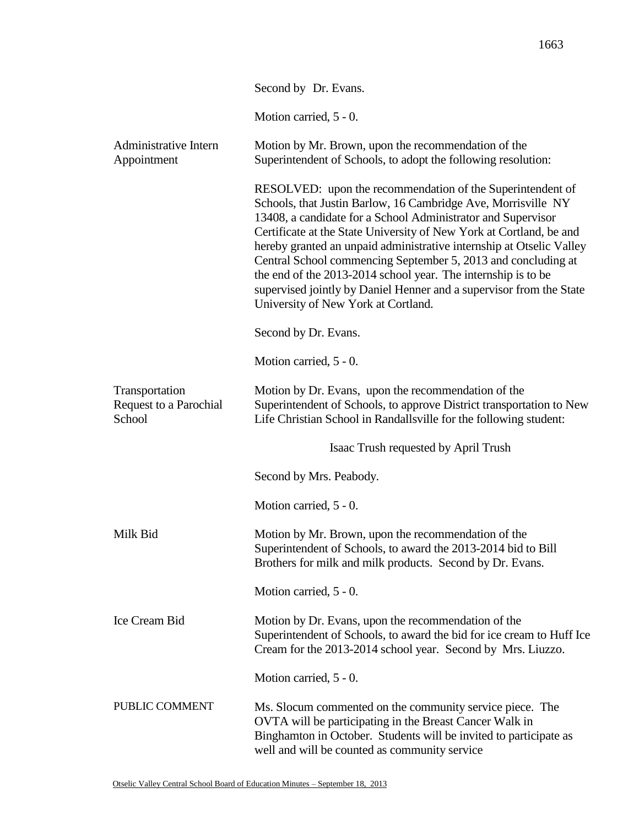|                                                    | Second by Dr. Evans.                                                                                                                                                                                                                                                                                                                                                                                                                                                                                                                                                                       |
|----------------------------------------------------|--------------------------------------------------------------------------------------------------------------------------------------------------------------------------------------------------------------------------------------------------------------------------------------------------------------------------------------------------------------------------------------------------------------------------------------------------------------------------------------------------------------------------------------------------------------------------------------------|
|                                                    | Motion carried, 5 - 0.                                                                                                                                                                                                                                                                                                                                                                                                                                                                                                                                                                     |
| Administrative Intern<br>Appointment               | Motion by Mr. Brown, upon the recommendation of the<br>Superintendent of Schools, to adopt the following resolution:                                                                                                                                                                                                                                                                                                                                                                                                                                                                       |
|                                                    | RESOLVED: upon the recommendation of the Superintendent of<br>Schools, that Justin Barlow, 16 Cambridge Ave, Morrisville NY<br>13408, a candidate for a School Administrator and Supervisor<br>Certificate at the State University of New York at Cortland, be and<br>hereby granted an unpaid administrative internship at Otselic Valley<br>Central School commencing September 5, 2013 and concluding at<br>the end of the 2013-2014 school year. The internship is to be<br>supervised jointly by Daniel Henner and a supervisor from the State<br>University of New York at Cortland. |
|                                                    | Second by Dr. Evans.                                                                                                                                                                                                                                                                                                                                                                                                                                                                                                                                                                       |
|                                                    | Motion carried, 5 - 0.                                                                                                                                                                                                                                                                                                                                                                                                                                                                                                                                                                     |
| Transportation<br>Request to a Parochial<br>School | Motion by Dr. Evans, upon the recommendation of the<br>Superintendent of Schools, to approve District transportation to New<br>Life Christian School in Randallsville for the following student:                                                                                                                                                                                                                                                                                                                                                                                           |
|                                                    | Isaac Trush requested by April Trush                                                                                                                                                                                                                                                                                                                                                                                                                                                                                                                                                       |
|                                                    | Second by Mrs. Peabody.                                                                                                                                                                                                                                                                                                                                                                                                                                                                                                                                                                    |
|                                                    | Motion carried, 5 - 0.                                                                                                                                                                                                                                                                                                                                                                                                                                                                                                                                                                     |
| Milk Bid                                           | Motion by Mr. Brown, upon the recommendation of the<br>Superintendent of Schools, to award the 2013-2014 bid to Bill<br>Brothers for milk and milk products. Second by Dr. Evans.                                                                                                                                                                                                                                                                                                                                                                                                          |
|                                                    | Motion carried, 5 - 0.                                                                                                                                                                                                                                                                                                                                                                                                                                                                                                                                                                     |
| Ice Cream Bid                                      | Motion by Dr. Evans, upon the recommendation of the<br>Superintendent of Schools, to award the bid for ice cream to Huff Ice<br>Cream for the 2013-2014 school year. Second by Mrs. Liuzzo.                                                                                                                                                                                                                                                                                                                                                                                                |
|                                                    | Motion carried, 5 - 0.                                                                                                                                                                                                                                                                                                                                                                                                                                                                                                                                                                     |
| PUBLIC COMMENT                                     | Ms. Slocum commented on the community service piece. The<br>OVTA will be participating in the Breast Cancer Walk in<br>Binghamton in October. Students will be invited to participate as<br>well and will be counted as community service                                                                                                                                                                                                                                                                                                                                                  |